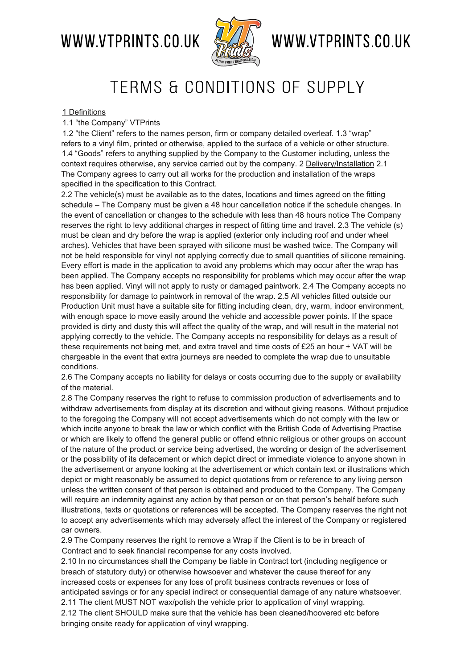### WWW.VTPRINTS.CO.UK



## WWW.VTPRINTS.CO.UK

### TERMS & CONDITIONS OF SUPPLY

#### 1 Definitions

#### 1.1 "the Company" VTPrints

1.2 "the Client" refers to the names person, firm or company detailed overleaf. 1.3 "wrap" refers to a vinyl film, printed or otherwise, applied to the surface of a vehicle or other structure. 1.4 "Goods" refers to anything supplied by the Company to the Customer including, unless the context requires otherwise, any service carried out by the company. 2 Delivery/Installation 2.1 The Company agrees to carry out all works for the production and installation of the wraps specified in the specification to this Contract.

2.2 The vehicle(s) must be available as to the dates, locations and times agreed on the fitting schedule – The Company must be given a 48 hour cancellation notice if the schedule changes. In the event of cancellation or changes to the schedule with less than 48 hours notice The Company reserves the right to levy additional charges in respect of fitting time and travel. 2.3 The vehicle (s) must be clean and dry before the wrap is applied (exterior only including roof and under wheel arches). Vehicles that have been sprayed with silicone must be washed twice. The Company will not be held responsible for vinyl not applying correctly due to small quantities of silicone remaining. Every effort is made in the application to avoid any problems which may occur after the wrap has been applied. The Company accepts no responsibility for problems which may occur after the wrap has been applied. Vinyl will not apply to rusty or damaged paintwork. 2.4 The Company accepts no responsibility for damage to paintwork in removal of the wrap. 2.5 All vehicles fitted outside our Production Unit must have a suitable site for fitting including clean, dry, warm, indoor environment, with enough space to move easily around the vehicle and accessible power points. If the space provided is dirty and dusty this will affect the quality of the wrap, and will result in the material not applying correctly to the vehicle. The Company accepts no responsibility for delays as a result of these requirements not being met, and extra travel and time costs of £25 an hour + VAT will be chargeable in the event that extra journeys are needed to complete the wrap due to unsuitable conditions.

2.6 The Company accepts no liability for delays or costs occurring due to the supply or availability of the material.

2.8 The Company reserves the right to refuse to commission production of advertisements and to withdraw advertisements from display at its discretion and without giving reasons. Without prejudice to the foregoing the Company will not accept advertisements which do not comply with the law or which incite anyone to break the law or which conflict with the British Code of Advertising Practise or which are likely to offend the general public or offend ethnic religious or other groups on account of the nature of the product or service being advertised, the wording or design of the advertisement or the possibility of its defacement or which depict direct or immediate violence to anyone shown in the advertisement or anyone looking at the advertisement or which contain text or illustrations which depict or might reasonably be assumed to depict quotations from or reference to any living person unless the written consent of that person is obtained and produced to the Company. The Company will require an indemnity against any action by that person or on that person's behalf before such illustrations, texts or quotations or references will be accepted. The Company reserves the right not to accept any advertisements which may adversely affect the interest of the Company or registered car owners.

2.9 The Company reserves the right to remove a Wrap if the Client is to be in breach of Contract and to seek financial recompense for any costs involved.

2.10 In no circumstances shall the Company be liable in Contract tort (including negligence or breach of statutory duty) or otherwise howsoever and whatever the cause thereof for any increased costs or expenses for any loss of profit business contracts revenues or loss of anticipated savings or for any special indirect or consequential damage of any nature whatsoever. 2.11 The client MUST NOT wax/polish the vehicle prior to application of vinyl wrapping.

2.12 The client SHOULD make sure that the vehicle has been cleaned/hoovered etc before bringing onsite ready for application of vinyl wrapping.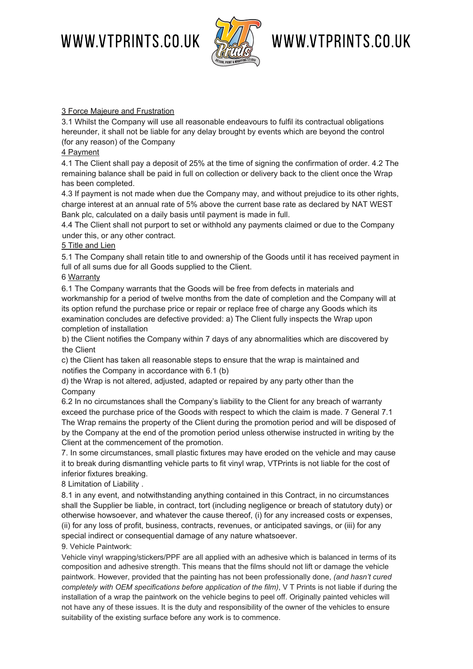WWW.VTPRINTS.CO.UK



# WWW.VTPRINTS.CO.UK

#### 3 Force Majeure and Frustration

3.1 Whilst the Company will use all reasonable endeavours to fulfil its contractual obligations hereunder, it shall not be liable for any delay brought by events which are beyond the control (for any reason) of the Company

#### 4 Payment

4.1 The Client shall pay a deposit of 25% at the time of signing the confirmation of order. 4.2 The remaining balance shall be paid in full on collection or delivery back to the client once the Wrap has been completed.

4.3 If payment is not made when due the Company may, and without prejudice to its other rights, charge interest at an annual rate of 5% above the current base rate as declared by NAT WEST Bank plc, calculated on a daily basis until payment is made in full.

4.4 The Client shall not purport to set or withhold any payments claimed or due to the Company under this, or any other contract.

#### 5 Title and Lien

5.1 The Company shall retain title to and ownership of the Goods until it has received payment in full of all sums due for all Goods supplied to the Client.

#### 6 Warranty

6.1 The Company warrants that the Goods will be free from defects in materials and workmanship for a period of twelve months from the date of completion and the Company will at its option refund the purchase price or repair or replace free of charge any Goods which its examination concludes are defective provided: a) The Client fully inspects the Wrap upon completion of installation

b) the Client notifies the Company within 7 days of any abnormalities which are discovered by the Client

c) the Client has taken all reasonable steps to ensure that the wrap is maintained and notifies the Company in accordance with 6.1 (b)

d) the Wrap is not altered, adjusted, adapted or repaired by any party other than the Company

6.2 In no circumstances shall the Company's liability to the Client for any breach of warranty exceed the purchase price of the Goods with respect to which the claim is made. 7 General 7.1 The Wrap remains the property of the Client during the promotion period and will be disposed of by the Company at the end of the promotion period unless otherwise instructed in writing by the Client at the commencement of the promotion.

7. In some circumstances, small plastic fixtures may have eroded on the vehicle and may cause it to break during dismantling vehicle parts to fit vinyl wrap, VTPrints is not liable for the cost of inferior fixtures breaking.

8 Limitation of Liability .

8.1 in any event, and notwithstanding anything contained in this Contract, in no circumstances shall the Supplier be liable, in contract, tort (including negligence or breach of statutory duty) or otherwise howsoever, and whatever the cause thereof, (i) for any increased costs or expenses, (ii) for any loss of profit, business, contracts, revenues, or anticipated savings, or (iii) for any special indirect or consequential damage of any nature whatsoever.

#### 9. Vehicle Paintwork:

Vehicle vinyl wrapping/stickers/PPF are all applied with an adhesive which is balanced in terms of its composition and adhesive strength. This means that the films should not lift or damage the vehicle paintwork. However, provided that the painting has not been professionally done, *(and hasn't cured completely with OEM specifications before application of the film)*, V T Prints is not liable if during the installation of a wrap the paintwork on the vehicle begins to peel off. Originally painted vehicles will not have any of these issues. It is the duty and responsibility of the owner of the vehicles to ensure suitability of the existing surface before any work is to commence.